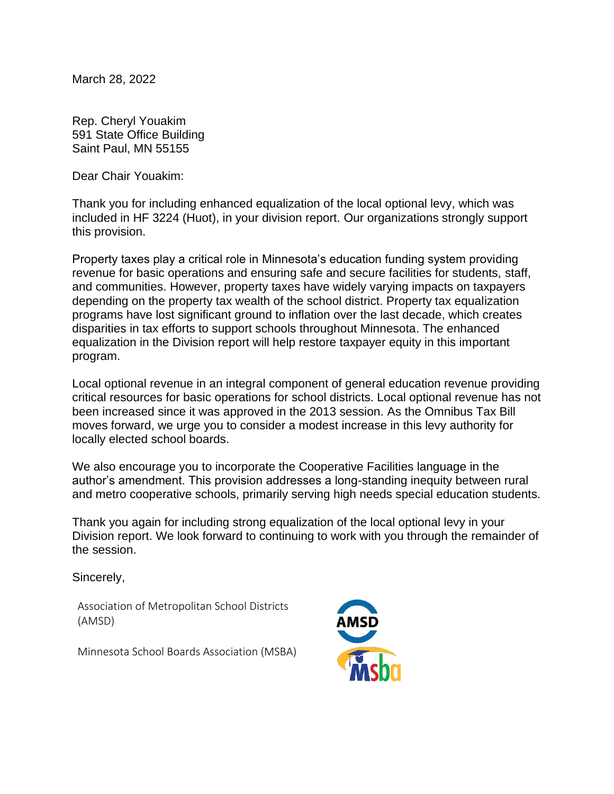March 28, 2022

Rep. Cheryl Youakim 591 State Office Building Saint Paul, MN 55155

Dear Chair Youakim:

Thank you for including enhanced equalization of the local optional levy, which was included in HF 3224 (Huot), in your division report. Our organizations strongly support this provision.

Property taxes play a critical role in Minnesota's education funding system providing revenue for basic operations and ensuring safe and secure facilities for students, staff, and communities. However, property taxes have widely varying impacts on taxpayers depending on the property tax wealth of the school district. Property tax equalization programs have lost significant ground to inflation over the last decade, which creates disparities in tax efforts to support schools throughout Minnesota. The enhanced equalization in the Division report will help restore taxpayer equity in this important program.

Local optional revenue in an integral component of general education revenue providing critical resources for basic operations for school districts. Local optional revenue has not been increased since it was approved in the 2013 session. As the Omnibus Tax Bill moves forward, we urge you to consider a modest increase in this levy authority for locally elected school boards.

We also encourage you to incorporate the Cooperative Facilities language in the author's amendment. This provision addresses a long-standing inequity between rural and metro cooperative schools, primarily serving high needs special education students.

Thank you again for including strong equalization of the local optional levy in your Division report. We look forward to continuing to work with you through the remainder of the session.

Sincerely,

Association of Metropolitan School Districts (AMSD)

Minnesota School Boards Association (MSBA)